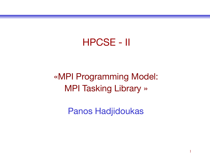#### HPCSE - II

#### «MPI Programming Model: MPI Tasking Library »

Panos Hadjidoukas

1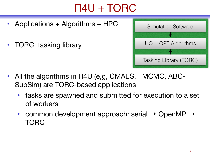# Π4U + TORC

- Applications + Algorithms + HPC
- TORC: tasking library



- All the algorithms in Π4U (e,g, CMAES, TMCMC, ABC-SubSim) are TORC-based applications
	- tasks are spawned and submitted for execution to a set of workers
	- common development approach: serial  $\rightarrow$  OpenMP  $\rightarrow$ TORC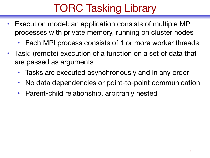# TORC Tasking Library

- Execution model: an application consists of multiple MPI processes with private memory, running on cluster nodes
	- Each MPI process consists of 1 or more worker threads
- Task: (remote) execution of a function on a set of data that are passed as arguments
	- Tasks are executed asynchronously and in any order
	- No data dependencies or point-to-point communication
	- Parent-child relationship, arbitrarily nested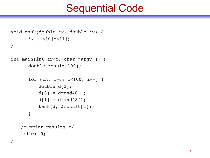### Sequential Code

```
void task(double *x, double *y) {
      *y = x[0]+x[1];}
```

```
int main(int argc, char *argv[]) {
      double result[100];
```

```
for (int i=0; i<100; i++) {
   double d[2];
   d[0] = dr and 48();
   d[1] = dr and 48();
   task(d, &result[i]);
}
```

```
/* print results */
return 0;
```
}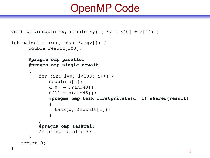### OpenMP Code

```
void task(double *x, double *y) { *y = x[0] + x[1]; }
int main(int argc, char *argv[]) {
     double result[100];
     #pragma omp parallel
     #pragma omp single nowait
     {
        for (int i=0; i<100; i++) {
            double d[2];
            d[0] = drand48();
            d[1] = drand48();
            #pragma omp task firstprivate(d, i) shared(result)
            {
              task(d, &result[i]);
            }
         }
        #pragma omp taskwait
        /* print results */
     }
   return 0;
} 5
```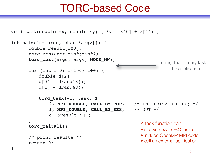### TORC-based Code

```
void task(double *x, double *y) { *y = x[0] + x[1]; }
int main(int argc, char *argv[]) {
      double result[100];
      torc_register_task(task);
      torc_init(argc, argv, MODE_MW);
      for (int i=0; i<100; i++) {
         double d[2];
         d[0] = drand48();
         d[1] = dr and 48();
         torc_task(-1, task, 2, 
              2, MPI_DOUBLE, CALL_BY_COP, /* IN (PRIVATE COPY) */
              1, MPI_DOUBLE, CALL_BY_RES, /* OUT */
              d, &result[i]);
      }
      torc_waitall();
      /* print results */
      return 0;
} 6
                                                    main(): the primary task 
                                                      of the application
                                             A task function can: 
                                              • spawn new TORC tasks
                                              • include OpenMP/MPI code 
                                              • call an external application
```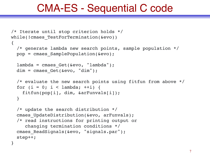### CMA-ES - Sequential C code

```
/* Iterate until stop criterion holds */
while(!cmaes TestForTermination(&evo))
{
   /* generate lambda new search points, sample population */
   pop = cmaes_SamplePopulation(&evo);
  lambda = \text{cmaes Get}(\&\text{evo}, "lambda");dim = cmaes Get(kevo, "dim");
   /* evaluate the new search points using fitfun from above */
  for (i = 0; i < lambda; ++i) {
    fitfun(pop[i], dim, &arFunvals[i]);
   }
   /* update the search distribution */
  cmaes UpdateDistribution(&evo, arFunvals);
   /* read instructions for printing output or 
      changing termination conditions */
  cmaes ReadSignals(&evo, "signals.par");
   step++;
```
}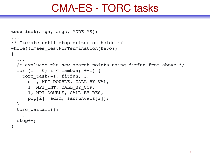#### CMA-ES - TORC tasks

```
torc_init(argn, args, MODE_MS);
...
/* Iterate until stop criterion holds */
while(!cmaes TestForTermination(&evo))
{
   ...
   /* evaluate the new search points using fitfun from above */
  for (i = 0; i < lambda; ++i) {
    torc task(-1, fitfun, 3,
      dim, MPI DOUBLE, CALL BY VAL,
       1, MPI_INT, CALL_BY_COP,
      1, MPI DOUBLE, CALL BY RES,
       pop[i], &dim, &arFunvals[i]);
   }
  torc waitall();
   ...
   step++;
}
```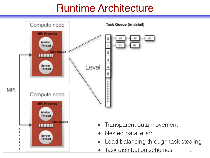# Runtime Architecture

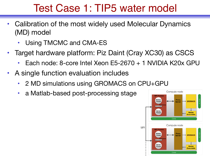# Test Case 1: TIP5 water model

- Calibration of the most widely used Molecular Dynamics (MD) model
	- Using TMCMC and CMA-ES
- Target hardware platform: Piz Daint (Cray XC30) as CSCS
	- Each node: 8-core Intel Xeon E5-2670 + 1 NVIDIA K20x GPU
- A single function evaluation includes
	- 2 MD simulations using GROMACS on CPU+GPU
	- a Matlab-based post-processing stage

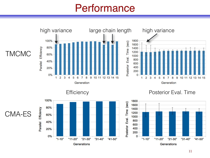### **Performance**

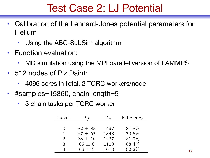# Test Case 2: LJ Potential

- Calibration of the Lennard-Jones potential parameters for **Helium** 
	- Using the ABC-SubSim algorithm
- Function evaluation:
	- MD simulation using the MPI parallel version of LAMMPS
- 512 nodes of Piz Daint:
	- 4096 cores in total, 2 TORC workers/node
- #samples=15360, chain length=5
	- 3 chain tasks per TORC worker

| Level          | l f         | $T_w$ | Efficiency |
|----------------|-------------|-------|------------|
|                |             |       |            |
|                | $82 \pm 83$ | 1497  | 81.8%      |
|                | $87 + 57$   | 1843  | 70.5%      |
| $\overline{2}$ | $68 \pm 10$ | 1237  | 81.9%      |
| 3              | $65 \pm 6$  | 1110  | 88.4%      |
|                | $66 + 5$    | 1078  | 92.2%      |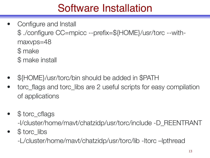# Software Installation

- Configure and Install \$ ./configure CC=mpicc --prefix=\${HOME}/usr/torc --withmaxvps=48 \$ make \$ make install
- \${HOME}/usr/torc/bin should be added in \$PATH
- torc\_flags and torc\_libs are 2 useful scripts for easy compilation of applications
- \$ torc\_cflags

-I/cluster/home/mavt/chatzidp/usr/torc/include -D\_REENTRANT

• \$ torc\_libs

-L/cluster/home/mavt/chatzidp/usr/torc/lib -ltorc –lpthread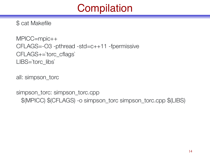# **Compilation**

\$ cat Makefile

MPICC=mpic++ CFLAGS=-O3 -pthread -std=c++11 -fpermissive CFLAGS+=`torc\_cflags` LIBS=`torc\_libs`

all: simpson\_torc

simpson\_torc: simpson\_torc.cpp \$(MPICC) \$(CFLAGS) -o simpson\_torc simpson\_torc.cpp \$(LIBS)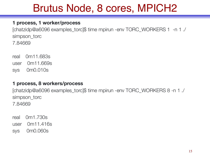# Brutus Node, 8 cores, MPICH2

#### **1 process, 1 worker/process**

[chatzidp@a6096 examples\_torc]\$ time mpirun -env TORC\_WORKERS 1 -n 1 ./ simpson\_torc 7.84669

real 0m11.683s user 0m11.669s sys 0m0.010s

#### **1 process, 8 workers/process**

[chatzidp@a6096 examples\_torc]\$ time mpirun -env TORC\_WORKERS 8 -n 1 ./ simpson torc 7.84669

real 0m1.730s user 0m11.416s sys 0m0.060s